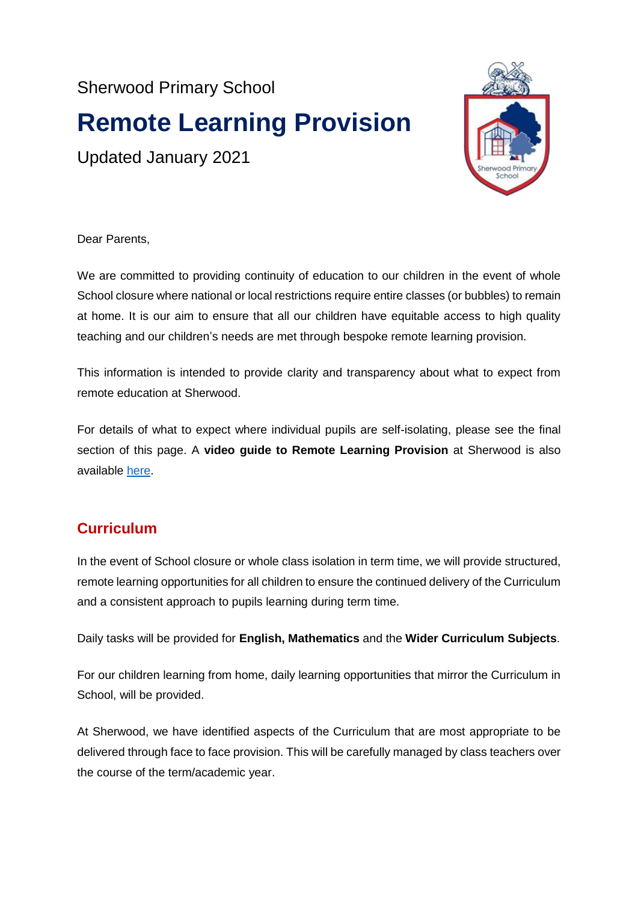Sherwood Primary School

# **Remote Learning Provision**

Updated January 2021



Dear Parents,

We are committed to providing continuity of education to our children in the event of whole School closure where national or local restrictions require entire classes (or bubbles) to remain at home. It is our aim to ensure that all our children have equitable access to high quality teaching and our children's needs are met through bespoke remote learning provision.

This information is intended to provide clarity and transparency about what to expect from remote education at Sherwood.

For details of what to expect where individual pupils are self-isolating, please see the final section of this page. A **video guide to Remote Learning Provision** at Sherwood is also available [here.](https://www.youtube.com/watch?v=cLPd12C4T24&feature=youtu.be&safe=true)

# **Curriculum**

In the event of School closure or whole class isolation in term time, we will provide structured, remote learning opportunities for all children to ensure the continued delivery of the Curriculum and a consistent approach to pupils learning during term time.

Daily tasks will be provided for **English, Mathematics** and the **Wider Curriculum Subjects**.

For our children learning from home, daily learning opportunities that mirror the Curriculum in School, will be provided.

At Sherwood, we have identified aspects of the Curriculum that are most appropriate to be delivered through face to face provision. This will be carefully managed by class teachers over the course of the term/academic year.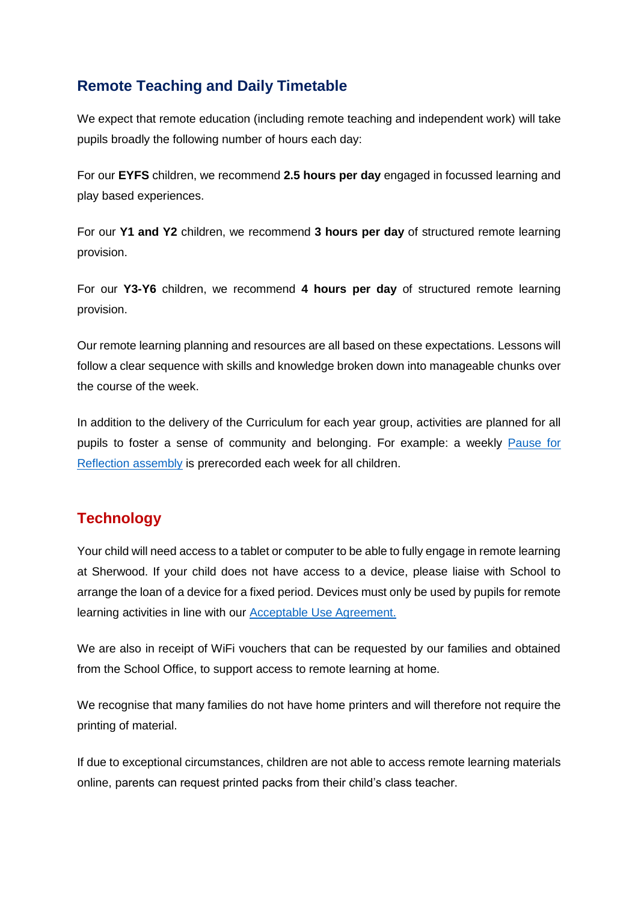# **Remote Teaching and Daily Timetable**

We expect that remote education (including remote teaching and independent work) will take pupils broadly the following number of hours each day:

For our **EYFS** children, we recommend **2.5 hours per day** engaged in focussed learning and play based experiences.

For our **Y1 and Y2** children, we recommend **3 hours per day** of structured remote learning provision.

For our **Y3-Y6** children, we recommend **4 hours per day** of structured remote learning provision.

Our remote learning planning and resources are all based on these expectations. Lessons will follow a clear sequence with skills and knowledge broken down into manageable chunks over the course of the week.

In addition to the delivery of the Curriculum for each year group, activities are planned for all pupils to foster a sense of community and belonging. For example: a weekly [Pause for](http://www.sherwood.lancs.sch.uk/page/spring-term-assemblies/90294)  [Reflection](http://www.sherwood.lancs.sch.uk/page/spring-term-assemblies/90294) assembly is prerecorded each week for all children.

# **Technology**

Your child will need access to a tablet or computer to be able to fully engage in remote learning at Sherwood. If your child does not have access to a device, please liaise with School to arrange the loan of a device for a fixed period. Devices must only be used by pupils for remote learning activities in line with our [Acceptable Use Agreement.](http://www.sherwood.lancs.sch.uk/page/online-safety/34061)

We are also in receipt of WiFi vouchers that can be requested by our families and obtained from the School Office, to support access to remote learning at home.

We recognise that many families do not have home printers and will therefore not require the printing of material.

If due to exceptional circumstances, children are not able to access remote learning materials online, parents can request printed packs from their child's class teacher.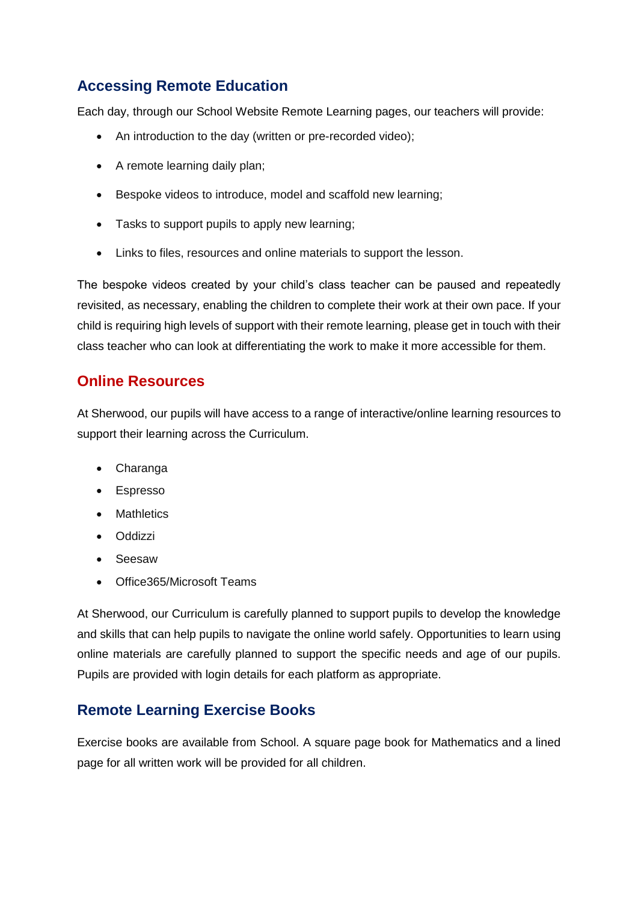# **Accessing Remote Education**

Each day, through our School Website Remote Learning pages, our teachers will provide:

- An introduction to the day (written or pre-recorded video);
- A remote learning daily plan;
- Bespoke videos to introduce, model and scaffold new learning;
- Tasks to support pupils to apply new learning;
- Links to files, resources and online materials to support the lesson.

The bespoke videos created by your child's class teacher can be paused and repeatedly revisited, as necessary, enabling the children to complete their work at their own pace. If your child is requiring high levels of support with their remote learning, please get in touch with their class teacher who can look at differentiating the work to make it more accessible for them.

## **Online Resources**

At Sherwood, our pupils will have access to a range of interactive/online learning resources to support their learning across the Curriculum.

- Charanga
- Espresso
- Mathletics
- Oddizzi
- Seesaw
- Office365/Microsoft Teams

At Sherwood, our Curriculum is carefully planned to support pupils to develop the knowledge and skills that can help pupils to navigate the online world safely. Opportunities to learn using online materials are carefully planned to support the specific needs and age of our pupils. Pupils are provided with login details for each platform as appropriate.

# **Remote Learning Exercise Books**

Exercise books are available from School. A square page book for Mathematics and a lined page for all written work will be provided for all children.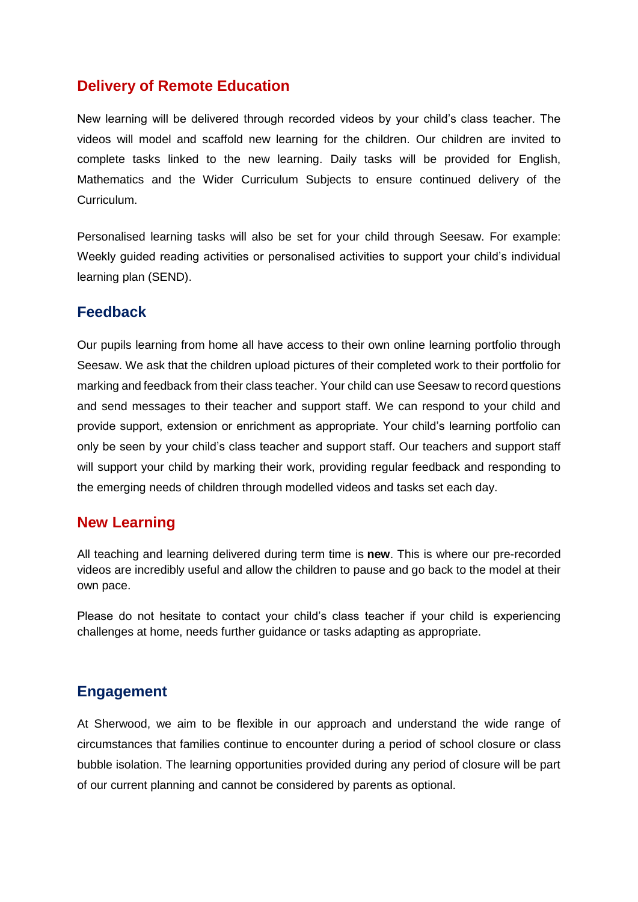## **Delivery of Remote Education**

New learning will be delivered through recorded videos by your child's class teacher. The videos will model and scaffold new learning for the children. Our children are invited to complete tasks linked to the new learning. Daily tasks will be provided for English, Mathematics and the Wider Curriculum Subjects to ensure continued delivery of the Curriculum.

Personalised learning tasks will also be set for your child through Seesaw. For example: Weekly guided reading activities or personalised activities to support your child's individual learning plan (SEND).

#### **Feedback**

Our pupils learning from home all have access to their own online learning portfolio through Seesaw. We ask that the children upload pictures of their completed work to their portfolio for marking and feedback from their class teacher. Your child can use Seesaw to record questions and send messages to their teacher and support staff. We can respond to your child and provide support, extension or enrichment as appropriate. Your child's learning portfolio can only be seen by your child's class teacher and support staff. Our teachers and support staff will support your child by marking their work, providing regular feedback and responding to the emerging needs of children through modelled videos and tasks set each day.

#### **New Learning**

All teaching and learning delivered during term time is **new**. This is where our pre-recorded videos are incredibly useful and allow the children to pause and go back to the model at their own pace.

Please do not hesitate to contact your child's class teacher if your child is experiencing challenges at home, needs further guidance or tasks adapting as appropriate.

### **Engagement**

At Sherwood, we aim to be flexible in our approach and understand the wide range of circumstances that families continue to encounter during a period of school closure or class bubble isolation. The learning opportunities provided during any period of closure will be part of our current planning and cannot be considered by parents as optional.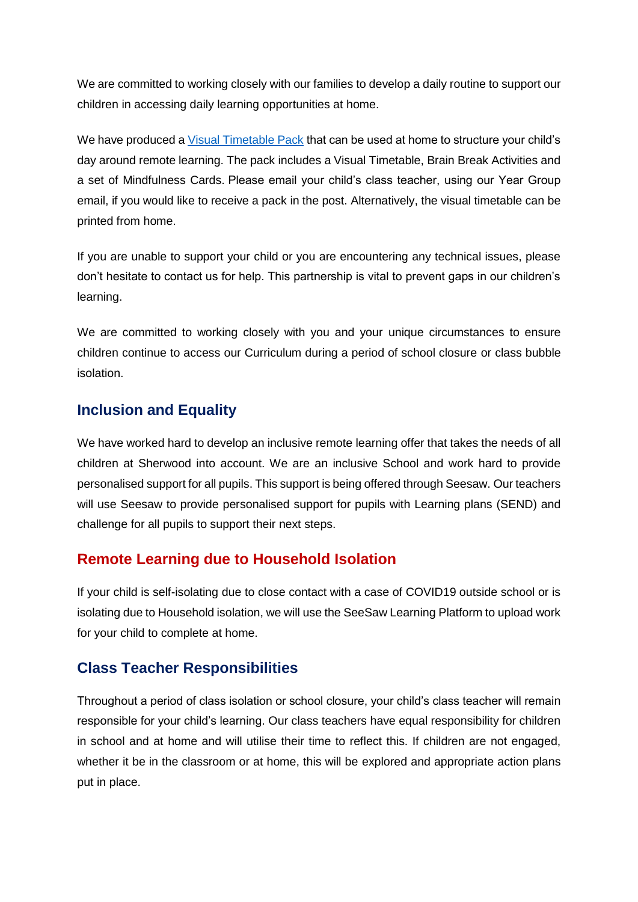We are committed to working closely with our families to develop a daily routine to support our children in accessing daily learning opportunities at home.

We have produced a [Visual Timetable Pack](http://www.sherwood.lancs.sch.uk/page/remote-learning/95522) that can be used at home to structure your child's day around remote learning. The pack includes a Visual Timetable, Brain Break Activities and a set of Mindfulness Cards. Please email your child's class teacher, using our Year Group email, if you would like to receive a pack in the post. Alternatively, the visual timetable can be printed from home.

If you are unable to support your child or you are encountering any technical issues, please don't hesitate to contact us for help. This partnership is vital to prevent gaps in our children's learning.

We are committed to working closely with you and your unique circumstances to ensure children continue to access our Curriculum during a period of school closure or class bubble isolation.

## **Inclusion and Equality**

We have worked hard to develop an inclusive remote learning offer that takes the needs of all children at Sherwood into account. We are an inclusive School and work hard to provide personalised support for all pupils. This support is being offered through Seesaw. Our teachers will use Seesaw to provide personalised support for pupils with Learning plans (SEND) and challenge for all pupils to support their next steps.

## **Remote Learning due to Household Isolation**

If your child is self-isolating due to close contact with a case of COVID19 outside school or is isolating due to Household isolation, we will use the SeeSaw Learning Platform to upload work for your child to complete at home.

## **Class Teacher Responsibilities**

Throughout a period of class isolation or school closure, your child's class teacher will remain responsible for your child's learning. Our class teachers have equal responsibility for children in school and at home and will utilise their time to reflect this. If children are not engaged, whether it be in the classroom or at home, this will be explored and appropriate action plans put in place.